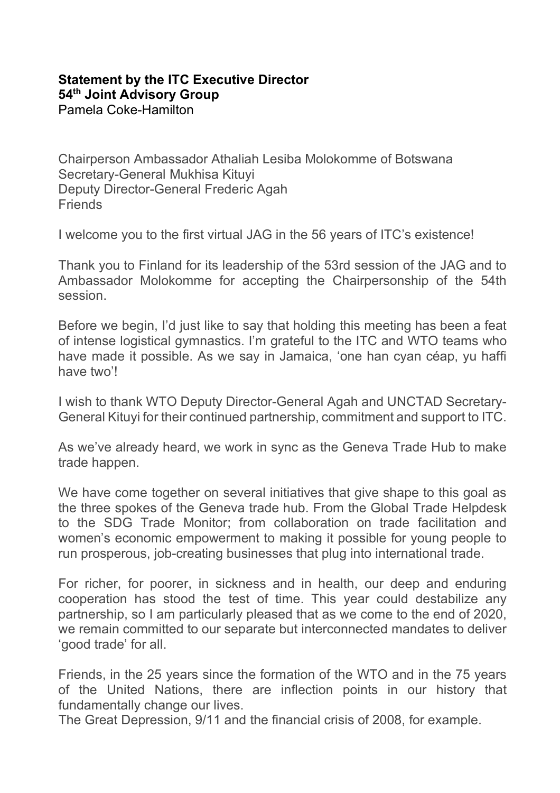## **[Statement](https://www.intracen.org/uploadedFiles/intracenorg/Content/About_ITC/Working_with_ITC/JAG/Redesign/5.%20ITC%20ED%20Speaking%20Points%20JAG%202019%20Rev%204.pdf) by the ITC Executive Director 54th Joint Advisory Group** Pamela Coke-Hamilton

Chairperson Ambassador Athaliah Lesiba Molokomme of Botswana Secretary-General Mukhisa Kituyi Deputy Director-General Frederic Agah **Friends** 

I welcome you to the first virtual JAG in the 56 years of ITC's existence!

Thank you to Finland for its leadership of the 53rd session of the JAG and to Ambassador Molokomme for accepting the Chairpersonship of the 54th session.

Before we begin, I'd just like to say that holding this meeting has been a feat of intense logistical gymnastics. I'm grateful to the ITC and WTO teams who have made it possible. As we say in Jamaica, 'one han cyan céap, yu haffi have two'l

I wish to thank WTO Deputy Director-General Agah and UNCTAD Secretary-General Kituyi for their continued partnership, commitment and support to ITC.

As we've already heard, we work in sync as the Geneva Trade Hub to make trade happen.

We have come together on several initiatives that give shape to this goal as the three spokes of the Geneva trade hub. From the Global Trade Helpdesk to the SDG Trade Monitor; from collaboration on trade facilitation and women's economic empowerment to making it possible for young people to run prosperous, job-creating businesses that plug into international trade.

For richer, for poorer, in sickness and in health, our deep and enduring cooperation has stood the test of time. This year could destabilize any partnership, so I am particularly pleased that as we come to the end of 2020, we remain committed to our separate but interconnected mandates to deliver 'good trade' for all.

Friends, in the 25 years since the formation of the WTO and in the 75 years of the United Nations, there are inflection points in our history that fundamentally change our lives.

The Great Depression, 9/11 and the financial crisis of 2008, for example.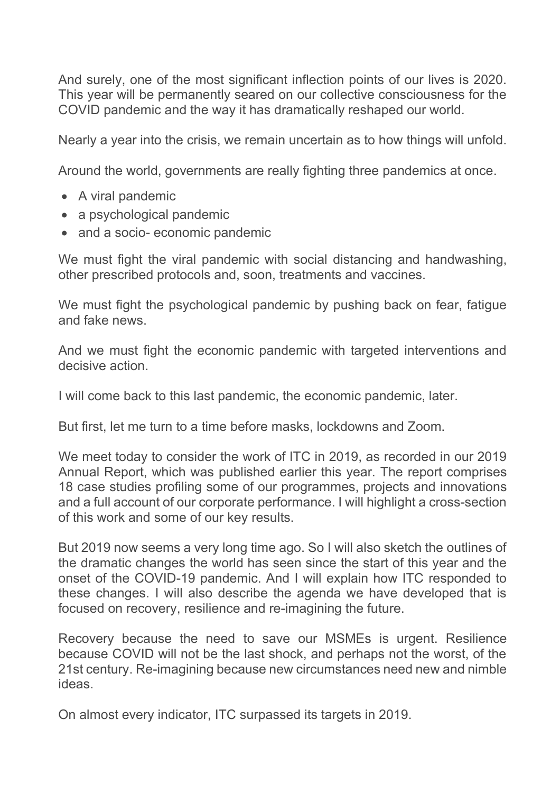And surely, one of the most significant inflection points of our lives is 2020. This year will be permanently seared on our collective consciousness for the COVID pandemic and the way it has dramatically reshaped our world.

Nearly a year into the crisis, we remain uncertain as to how things will unfold.

Around the world, governments are really fighting three pandemics at once.

- A viral pandemic
- a psychological pandemic
- and a socio- economic pandemic

We must fight the viral pandemic with social distancing and handwashing, other prescribed protocols and, soon, treatments and vaccines.

We must fight the psychological pandemic by pushing back on fear, fatigue and fake news.

And we must fight the economic pandemic with targeted interventions and decisive action.

I will come back to this last pandemic, the economic pandemic, later.

But first, let me turn to a time before masks, lockdowns and Zoom.

We meet today to consider the work of ITC in 2019, as recorded in our 2019 Annual Report, which was published earlier this year. The report comprises 18 case studies profiling some of our programmes, projects and innovations and a full account of our corporate performance. I will highlight a cross-section of this work and some of our key results.

But 2019 now seems a very long time ago. So I will also sketch the outlines of the dramatic changes the world has seen since the start of this year and the onset of the COVID-19 pandemic. And I will explain how ITC responded to these changes. I will also describe the agenda we have developed that is focused on recovery, resilience and re-imagining the future.

Recovery because the need to save our MSMEs is urgent. Resilience because COVID will not be the last shock, and perhaps not the worst, of the 21st century. Re-imagining because new circumstances need new and nimble ideas.

On almost every indicator, ITC surpassed its targets in 2019.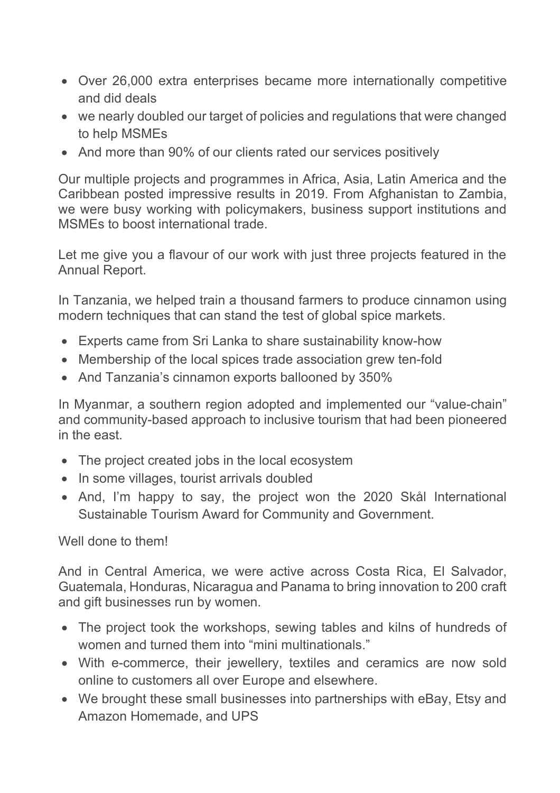- Over 26,000 extra enterprises became more internationally competitive and did deals
- we nearly doubled our target of policies and regulations that were changed to help MSMEs
- And more than 90% of our clients rated our services positively

Our multiple projects and programmes in Africa, Asia, Latin America and the Caribbean posted impressive results in 2019. From Afghanistan to Zambia, we were busy working with policymakers, business support institutions and MSMEs to boost international trade.

Let me give you a flavour of our work with just three projects featured in the Annual Report.

In Tanzania, we helped train a thousand farmers to produce cinnamon using modern techniques that can stand the test of global spice markets.

- Experts came from Sri Lanka to share sustainability know-how
- Membership of the local spices trade association grew ten-fold
- And Tanzania's cinnamon exports ballooned by 350%

In Myanmar, a southern region adopted and implemented our "value-chain" and community-based approach to inclusive tourism that had been pioneered in the east.

- The project created jobs in the local ecosystem
- In some villages, tourist arrivals doubled
- And, I'm happy to say, the project won the 2020 Skål International Sustainable Tourism Award for Community and Government.

## Well done to them!

And in Central America, we were active across Costa Rica, El Salvador, Guatemala, Honduras, Nicaragua and Panama to bring innovation to 200 craft and gift businesses run by women.

- The project took the workshops, sewing tables and kilns of hundreds of women and turned them into "mini multinationals."
- With e-commerce, their jewellery, textiles and ceramics are now sold online to customers all over Europe and elsewhere.
- We brought these small businesses into partnerships with eBay, Etsy and Amazon Homemade, and UPS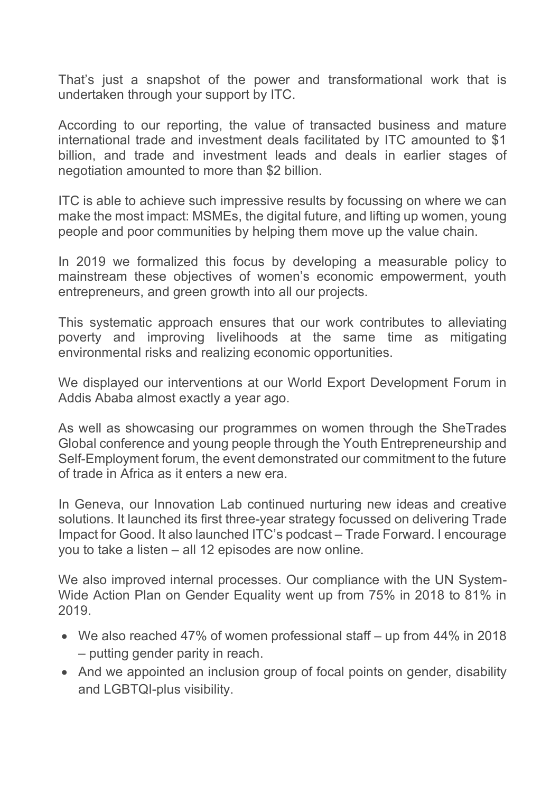That's just a snapshot of the power and transformational work that is undertaken through your support by ITC.

According to our reporting, the value of transacted business and mature international trade and investment deals facilitated by ITC amounted to \$1 billion, and trade and investment leads and deals in earlier stages of negotiation amounted to more than \$2 billion.

ITC is able to achieve such impressive results by focussing on where we can make the most impact: MSMEs, the digital future, and lifting up women, young people and poor communities by helping them move up the value chain.

In 2019 we formalized this focus by developing a measurable policy to mainstream these objectives of women's economic empowerment, youth entrepreneurs, and green growth into all our projects.

This systematic approach ensures that our work contributes to alleviating poverty and improving livelihoods at the same time as mitigating environmental risks and realizing economic opportunities.

We displayed our interventions at our World Export Development Forum in Addis Ababa almost exactly a year ago.

As well as showcasing our programmes on women through the SheTrades Global conference and young people through the Youth Entrepreneurship and Self-Employment forum, the event demonstrated our commitment to the future of trade in Africa as it enters a new era.

In Geneva, our Innovation Lab continued nurturing new ideas and creative solutions. It launched its first three-year strategy focussed on delivering Trade Impact for Good. It also launched ITC's podcast – Trade Forward. I encourage you to take a listen – all 12 episodes are now online.

We also improved internal processes. Our compliance with the UN System-Wide Action Plan on Gender Equality went up from 75% in 2018 to 81% in 2019.

- We also reached 47% of women professional staff up from 44% in 2018 – putting gender parity in reach.
- And we appointed an inclusion group of focal points on gender, disability and LGBTQI-plus visibility.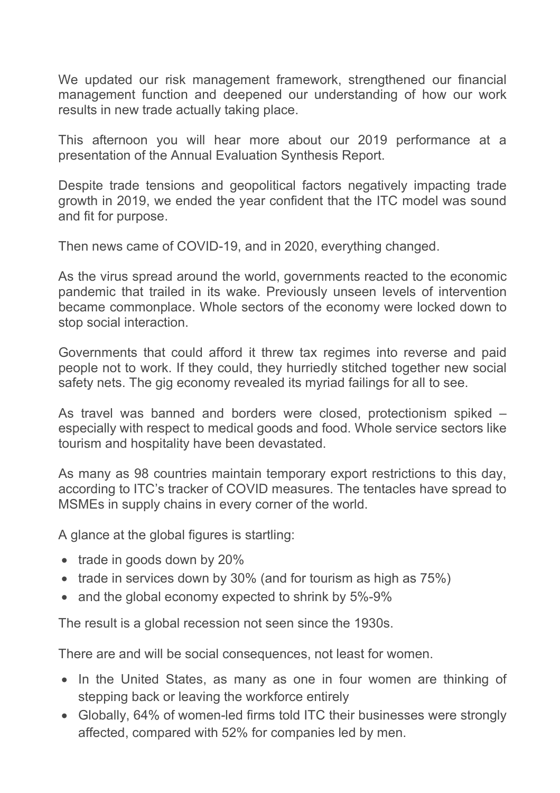We updated our risk management framework, strengthened our financial management function and deepened our understanding of how our work results in new trade actually taking place.

This afternoon you will hear more about our 2019 performance at a presentation of the Annual Evaluation Synthesis Report.

Despite trade tensions and geopolitical factors negatively impacting trade growth in 2019, we ended the year confident that the ITC model was sound and fit for purpose.

Then news came of COVID-19, and in 2020, everything changed.

As the virus spread around the world, governments reacted to the economic pandemic that trailed in its wake. Previously unseen levels of intervention became commonplace. Whole sectors of the economy were locked down to stop social interaction.

Governments that could afford it threw tax regimes into reverse and paid people not to work. If they could, they hurriedly stitched together new social safety nets. The gig economy revealed its myriad failings for all to see.

As travel was banned and borders were closed, protectionism spiked – especially with respect to medical goods and food. Whole service sectors like tourism and hospitality have been devastated.

As many as 98 countries maintain temporary export restrictions to this day, according to ITC's tracker of COVID measures. The tentacles have spread to MSMEs in supply chains in every corner of the world.

A glance at the global figures is startling:

- trade in goods down by 20%
- trade in services down by 30% (and for tourism as high as 75%)
- and the global economy expected to shrink by 5%-9%

The result is a global recession not seen since the 1930s.

There are and will be social consequences, not least for women.

- In the United States, as many as one in four women are thinking of stepping back or leaving the workforce entirely
- Globally, 64% of women-led firms told ITC their businesses were strongly affected, compared with 52% for companies led by men.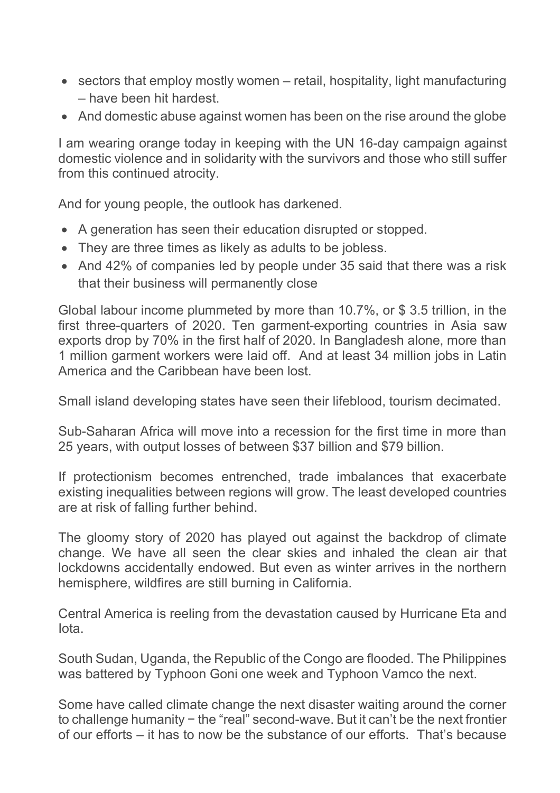- sectors that employ mostly women retail, hospitality, light manufacturing – have been hit hardest.
- And domestic abuse against women has been on the rise around the globe

I am wearing orange today in keeping with the UN 16-day campaign against domestic violence and in solidarity with the survivors and those who still suffer from this continued atrocity.

And for young people, the outlook has darkened.

- A generation has seen their education disrupted or stopped.
- They are three times as likely as adults to be jobless.
- And 42% of companies led by people under 35 said that there was a risk that their business will permanently close

Global labour income plummeted by more than 10.7%, or \$ 3.5 trillion, in the first three-quarters of 2020. Ten garment-exporting countries in Asia saw exports drop by 70% in the first half of 2020. In Bangladesh alone, more than 1 million garment workers were laid off. And at least 34 million jobs in Latin America and the Caribbean have been lost.

Small island developing states have seen their lifeblood, tourism decimated.

Sub-Saharan Africa will move into a recession for the first time in more than 25 years, with output losses of between \$37 billion and \$79 billion.

If protectionism becomes entrenched, trade imbalances that exacerbate existing inequalities between regions will grow. The least developed countries are at risk of falling further behind.

The gloomy story of 2020 has played out against the backdrop of climate change. We have all seen the clear skies and inhaled the clean air that lockdowns accidentally endowed. But even as winter arrives in the northern hemisphere, wildfires are still burning in California.

Central America is reeling from the devastation caused by Hurricane Eta and Iota.

South Sudan, Uganda, the Republic of the Congo are flooded. The Philippines was battered by Typhoon Goni one week and Typhoon Vamco the next.

Some have called climate change the next disaster waiting around the corner to challenge humanity − the "real" second-wave. But it can't be the next frontier of our efforts – it has to now be the substance of our efforts. That's because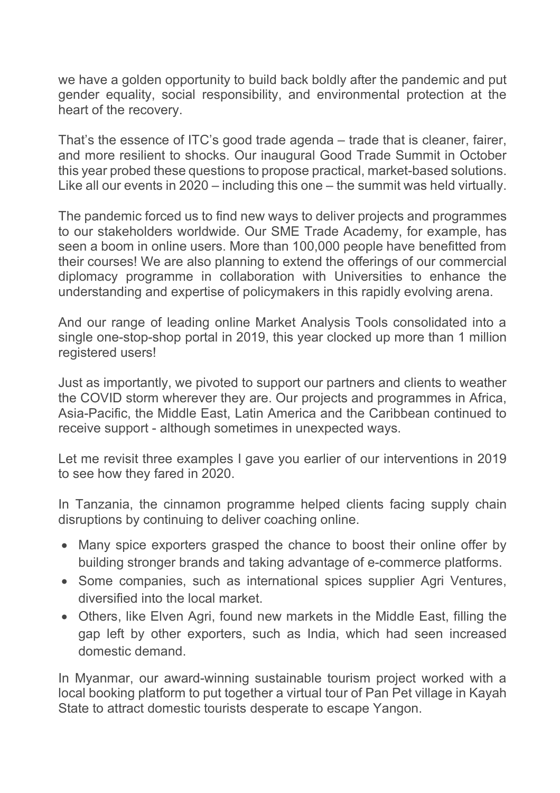we have a golden opportunity to build back boldly after the pandemic and put gender equality, social responsibility, and environmental protection at the heart of the recovery.

That's the essence of ITC's good trade agenda – trade that is cleaner, fairer, and more resilient to shocks. Our inaugural Good Trade Summit in October this year probed these questions to propose practical, market-based solutions. Like all our events in 2020 – including this one – the summit was held virtually.

The pandemic forced us to find new ways to deliver projects and programmes to our stakeholders worldwide. Our SME Trade Academy, for example, has seen a boom in online users. More than 100,000 people have benefitted from their courses! We are also planning to extend the offerings of our commercial diplomacy programme in collaboration with Universities to enhance the understanding and expertise of policymakers in this rapidly evolving arena.

And our range of leading online Market Analysis Tools consolidated into a single one-stop-shop portal in 2019, this year clocked up more than 1 million registered users!

Just as importantly, we pivoted to support our partners and clients to weather the COVID storm wherever they are. Our projects and programmes in Africa, Asia-Pacific, the Middle East, Latin America and the Caribbean continued to receive support - although sometimes in unexpected ways.

Let me revisit three examples I gave you earlier of our interventions in 2019 to see how they fared in 2020.

In Tanzania, the cinnamon programme helped clients facing supply chain disruptions by continuing to deliver coaching online.

- Many spice exporters grasped the chance to boost their online offer by building stronger brands and taking advantage of e-commerce platforms.
- Some companies, such as international spices supplier Agri Ventures, diversified into the local market.
- Others, like Elven Agri, found new markets in the Middle East, filling the gap left by other exporters, such as India, which had seen increased domestic demand.

In Myanmar, our award-winning sustainable tourism project worked with a local booking platform to put together a virtual tour of Pan Pet village in Kayah State to attract domestic tourists desperate to escape Yangon.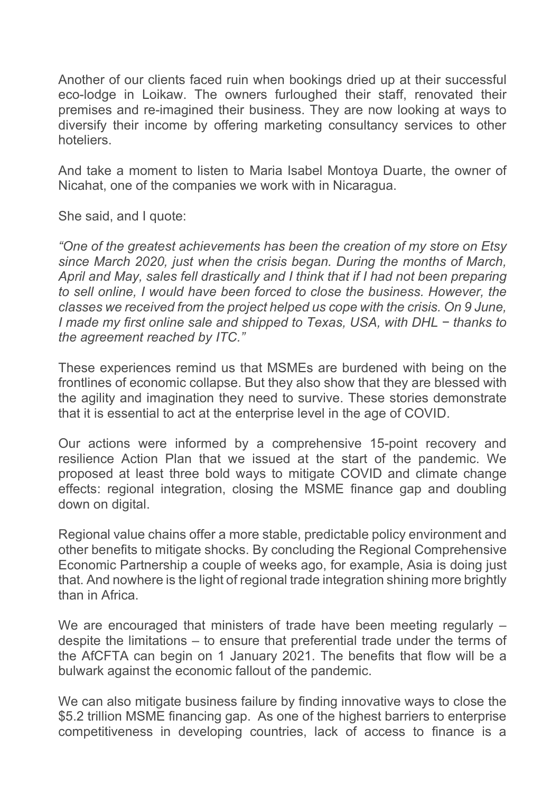Another of our clients faced ruin when bookings dried up at their successful eco-lodge in Loikaw. The owners furloughed their staff, renovated their premises and re-imagined their business. They are now looking at ways to diversify their income by offering marketing consultancy services to other hoteliers.

And take a moment to listen to Maria Isabel Montoya Duarte, the owner of Nicahat, one of the companies we work with in Nicaragua.

She said, and I quote:

*"One of the greatest achievements has been the creation of my store on Etsy since March 2020, just when the crisis began. During the months of March, April and May, sales fell drastically and I think that if I had not been preparing to sell online, I would have been forced to close the business. However, the classes we received from the project helped us cope with the crisis. On 9 June, I made my first online sale and shipped to Texas, USA, with DHL − thanks to the agreement reached by ITC."*

These experiences remind us that MSMEs are burdened with being on the frontlines of economic collapse. But they also show that they are blessed with the agility and imagination they need to survive. These stories demonstrate that it is essential to act at the enterprise level in the age of COVID.

Our actions were informed by a comprehensive 15-point recovery and resilience Action Plan that we issued at the start of the pandemic. We proposed at least three bold ways to mitigate COVID and climate change effects: regional integration, closing the MSME finance gap and doubling down on digital.

Regional value chains offer a more stable, predictable policy environment and other benefits to mitigate shocks. By concluding the Regional Comprehensive Economic Partnership a couple of weeks ago, for example, Asia is doing just that. And nowhere is the light of regional trade integration shining more brightly than in Africa.

We are encouraged that ministers of trade have been meeting regularly – despite the limitations – to ensure that preferential trade under the terms of the AfCFTA can begin on 1 January 2021. The benefits that flow will be a bulwark against the economic fallout of the pandemic.

We can also mitigate business failure by finding innovative ways to close the \$5.2 trillion MSME financing gap. As one of the highest barriers to enterprise competitiveness in developing countries, lack of access to finance is a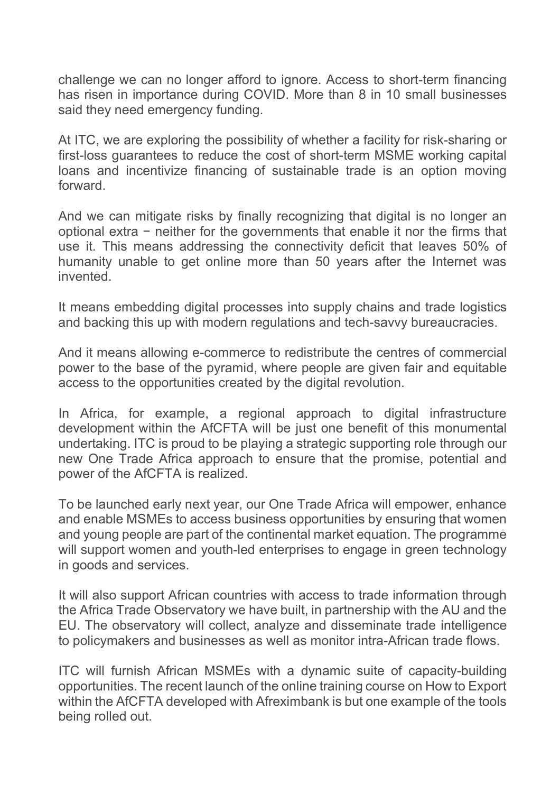challenge we can no longer afford to ignore. Access to short-term financing has risen in importance during COVID. More than 8 in 10 small businesses said they need emergency funding.

At ITC, we are exploring the possibility of whether a facility for risk-sharing or first-loss guarantees to reduce the cost of short-term MSME working capital loans and incentivize financing of sustainable trade is an option moving forward.

And we can mitigate risks by finally recognizing that digital is no longer an optional extra − neither for the governments that enable it nor the firms that use it. This means addressing the connectivity deficit that leaves 50% of humanity unable to get online more than 50 years after the Internet was invented.

It means embedding digital processes into supply chains and trade logistics and backing this up with modern regulations and tech-savvy bureaucracies.

And it means allowing e-commerce to redistribute the centres of commercial power to the base of the pyramid, where people are given fair and equitable access to the opportunities created by the digital revolution.

In Africa, for example, a regional approach to digital infrastructure development within the AfCFTA will be just one benefit of this monumental undertaking. ITC is proud to be playing a strategic supporting role through our new One Trade Africa approach to ensure that the promise, potential and power of the AfCFTA is realized.

To be launched early next year, our One Trade Africa will empower, enhance and enable MSMEs to access business opportunities by ensuring that women and young people are part of the continental market equation. The programme will support women and youth-led enterprises to engage in green technology in goods and services.

It will also support African countries with access to trade information through the Africa Trade Observatory we have built, in partnership with the AU and the EU. The observatory will collect, analyze and disseminate trade intelligence to policymakers and businesses as well as monitor intra-African trade flows.

ITC will furnish African MSMEs with a dynamic suite of capacity-building opportunities. The recent launch of the online training course on How to Export within the AfCFTA developed with Afreximbank is but one example of the tools being rolled out.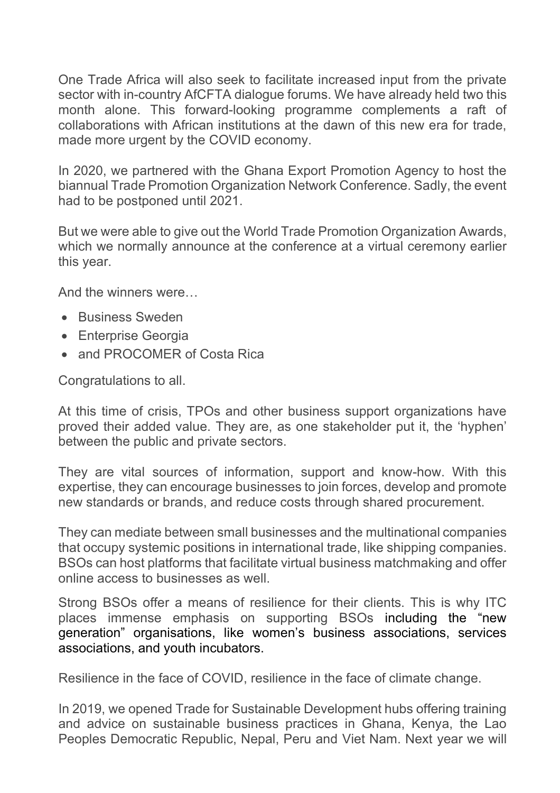One Trade Africa will also seek to facilitate increased input from the private sector with in-country AfCFTA dialogue forums. We have already held two this month alone. This forward-looking programme complements a raft of collaborations with African institutions at the dawn of this new era for trade, made more urgent by the COVID economy.

In 2020, we partnered with the Ghana Export Promotion Agency to host the biannual Trade Promotion Organization Network Conference. Sadly, the event had to be postponed until 2021.

But we were able to give out the World Trade Promotion Organization Awards, which we normally announce at the conference at a virtual ceremony earlier this year.

And the winners were…

- Business Sweden
- Enterprise Georgia
- and PROCOMER of Costa Rica

Congratulations to all.

At this time of crisis, TPOs and other business support organizations have proved their added value. They are, as one stakeholder put it, the 'hyphen' between the public and private sectors.

They are vital sources of information, support and know-how. With this expertise, they can encourage businesses to join forces, develop and promote new standards or brands, and reduce costs through shared procurement.

They can mediate between small businesses and the multinational companies that occupy systemic positions in international trade, like shipping companies. BSOs can host platforms that facilitate virtual business matchmaking and offer online access to businesses as well.

Strong BSOs offer a means of resilience for their clients. This is why ITC places immense emphasis on supporting BSOs including the "new generation" organisations, like women's business associations, services associations, and youth incubators.

Resilience in the face of COVID, resilience in the face of climate change.

In 2019, we opened Trade for Sustainable Development hubs offering training and advice on sustainable business practices in Ghana, Kenya, the Lao Peoples Democratic Republic, Nepal, Peru and Viet Nam. Next year we will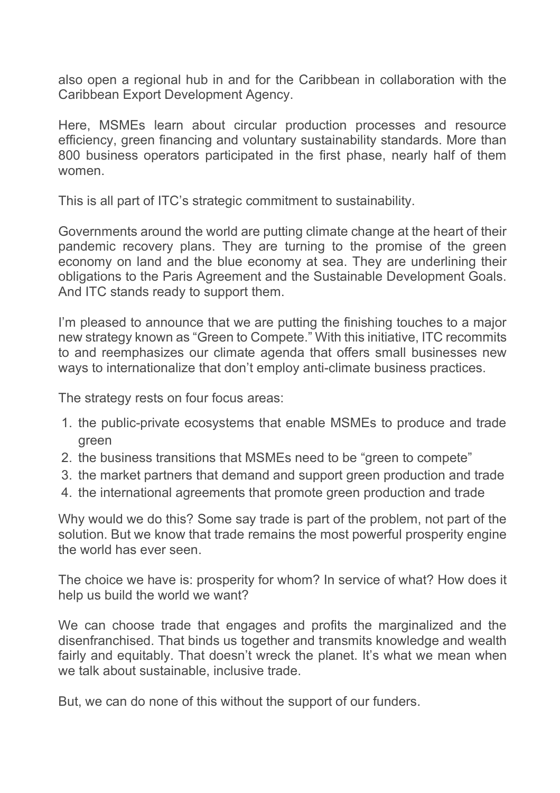also open a regional hub in and for the Caribbean in collaboration with the Caribbean Export Development Agency.

Here, MSMEs learn about circular production processes and resource efficiency, green financing and voluntary sustainability standards. More than 800 business operators participated in the first phase, nearly half of them women.

This is all part of ITC's strategic commitment to sustainability.

Governments around the world are putting climate change at the heart of their pandemic recovery plans. They are turning to the promise of the green economy on land and the blue economy at sea. They are underlining their obligations to the Paris Agreement and the Sustainable Development Goals. And ITC stands ready to support them.

I'm pleased to announce that we are putting the finishing touches to a major new strategy known as "Green to Compete." With this initiative, ITC recommits to and reemphasizes our climate agenda that offers small businesses new ways to internationalize that don't employ anti-climate business practices.

The strategy rests on four focus areas:

- 1. the public-private ecosystems that enable MSMEs to produce and trade green
- 2. the business transitions that MSMEs need to be "green to compete"
- 3. the market partners that demand and support green production and trade
- 4. the international agreements that promote green production and trade

Why would we do this? Some say trade is part of the problem, not part of the solution. But we know that trade remains the most powerful prosperity engine the world has ever seen.

The choice we have is: prosperity for whom? In service of what? How does it help us build the world we want?

We can choose trade that engages and profits the marginalized and the disenfranchised. That binds us together and transmits knowledge and wealth fairly and equitably. That doesn't wreck the planet. It's what we mean when we talk about sustainable, inclusive trade.

But, we can do none of this without the support of our funders.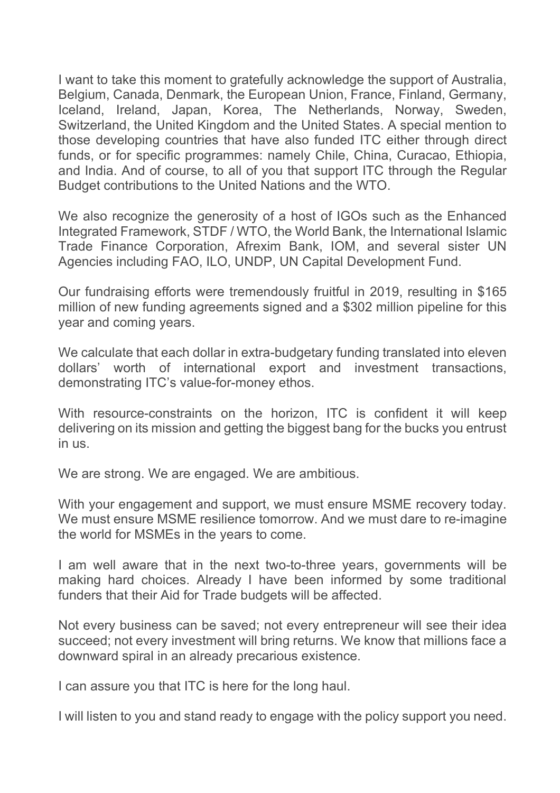I want to take this moment to gratefully acknowledge the support of Australia, Belgium, Canada, Denmark, the European Union, France, Finland, Germany, Iceland, Ireland, Japan, Korea, The Netherlands, Norway, Sweden, Switzerland, the United Kingdom and the United States. A special mention to those developing countries that have also funded ITC either through direct funds, or for specific programmes: namely Chile, China, Curacao, Ethiopia, and India. And of course, to all of you that support ITC through the Regular Budget contributions to the United Nations and the WTO.

We also recognize the generosity of a host of IGOs such as the Enhanced Integrated Framework, STDF / WTO, the World Bank, the International Islamic Trade Finance Corporation, Afrexim Bank, IOM, and several sister UN Agencies including FAO, ILO, UNDP, UN Capital Development Fund.

Our fundraising efforts were tremendously fruitful in 2019, resulting in \$165 million of new funding agreements signed and a \$302 million pipeline for this year and coming years.

We calculate that each dollar in extra-budgetary funding translated into eleven dollars' worth of international export and investment transactions, demonstrating ITC's value-for-money ethos.

With resource-constraints on the horizon, ITC is confident it will keep delivering on its mission and getting the biggest bang for the bucks you entrust in us.

We are strong. We are engaged. We are ambitious.

With your engagement and support, we must ensure MSME recovery today. We must ensure MSME resilience tomorrow. And we must dare to re-imagine the world for MSMEs in the years to come.

I am well aware that in the next two-to-three years, governments will be making hard choices. Already I have been informed by some traditional funders that their Aid for Trade budgets will be affected.

Not every business can be saved; not every entrepreneur will see their idea succeed; not every investment will bring returns. We know that millions face a downward spiral in an already precarious existence.

I can assure you that ITC is here for the long haul.

I will listen to you and stand ready to engage with the policy support you need.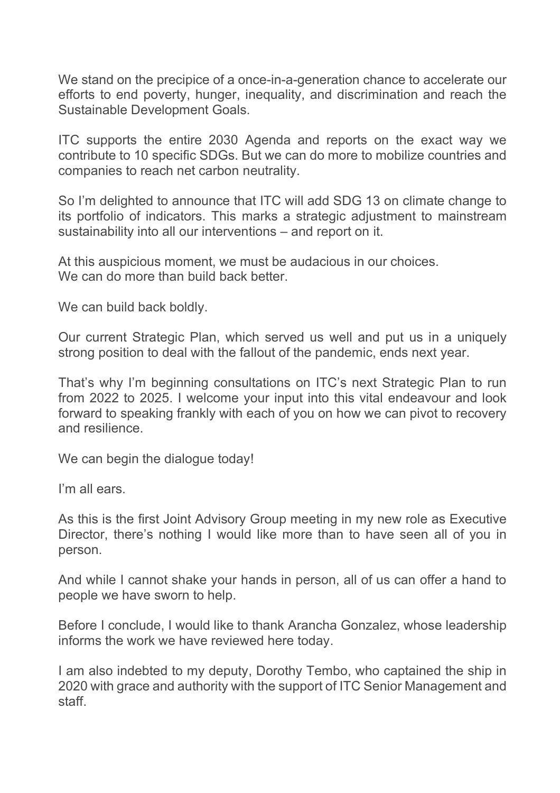We stand on the precipice of a once-in-a-generation chance to accelerate our efforts to end poverty, hunger, inequality, and discrimination and reach the Sustainable Development Goals.

ITC supports the entire 2030 Agenda and reports on the exact way we contribute to 10 specific SDGs. But we can do more to mobilize countries and companies to reach net carbon neutrality.

So I'm delighted to announce that ITC will add SDG 13 on climate change to its portfolio of indicators. This marks a strategic adjustment to mainstream sustainability into all our interventions – and report on it.

At this auspicious moment, we must be audacious in our choices. We can do more than build back better.

We can build back boldly.

Our current Strategic Plan, which served us well and put us in a uniquely strong position to deal with the fallout of the pandemic, ends next year.

That's why I'm beginning consultations on ITC's next Strategic Plan to run from 2022 to 2025. I welcome your input into this vital endeavour and look forward to speaking frankly with each of you on how we can pivot to recovery and resilience.

We can begin the dialogue today!

I'm all ears.

As this is the first Joint Advisory Group meeting in my new role as Executive Director, there's nothing I would like more than to have seen all of you in person.

And while I cannot shake your hands in person, all of us can offer a hand to people we have sworn to help.

Before I conclude, I would like to thank Arancha Gonzalez, whose leadership informs the work we have reviewed here today.

I am also indebted to my deputy, Dorothy Tembo, who captained the ship in 2020 with grace and authority with the support of ITC Senior Management and staff.